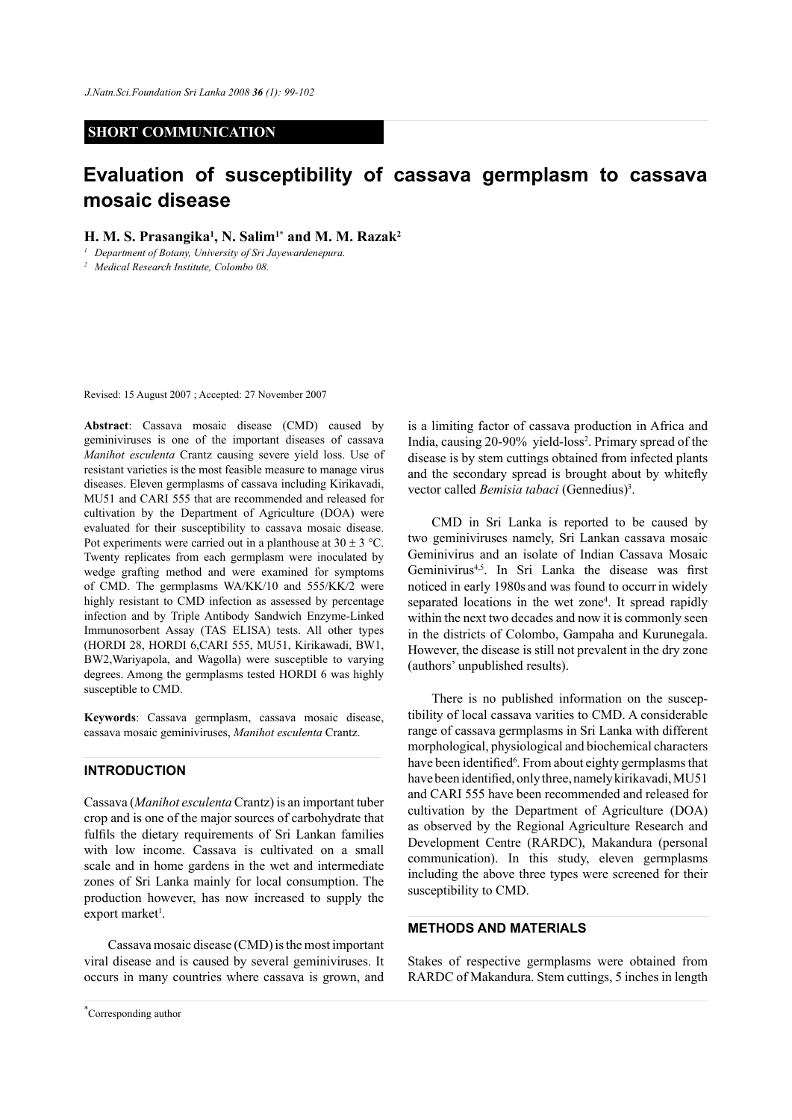#### **SHORT COMMUNICATION**

# **Evaluation of susceptibility of cassava germplasm to cassava mosaic disease**

**H. M. S. Prasangika1 , N. Salim1\* and M. M. Razak2**

*<sup>1</sup> Department of Botany, University of Sri Jayewardenepura.* 

*<sup>2</sup> Medical Research Institute, Colombo 08.*

Revised: 15 August 2007 ; Accepted: 27 November 2007

**Abstract**: Cassava mosaic disease (CMD) caused by geminiviruses is one of the important diseases of cassava *Manihot esculenta* Crantz causing severe yield loss. Use of resistant varieties is the most feasible measure to manage virus diseases. Eleven germplasms of cassava including Kirikavadi, MU51 and CARI 555 that are recommended and released for cultivation by the Department of Agriculture (DOA) were evaluated for their susceptibility to cassava mosaic disease. Pot experiments were carried out in a planthouse at  $30 \pm 3$  °C. Twenty replicates from each germplasm were inoculated by wedge grafting method and were examined for symptoms of CMD. The germplasms WA/KK/10 and 555/KK/2 were highly resistant to CMD infection as assessed by percentage infection and by Triple Antibody Sandwich Enzyme-Linked Immunosorbent Assay (TAS ELISA) tests. All other types (HORDI 28, HORDI 6,CARI 555, MU51, Kirikawadi, BW1, BW2,Wariyapola, and Wagolla) were susceptible to varying degrees. Among the germplasms tested HORDI 6 was highly susceptible to CMD.

**Keywords**: Cassava germplasm, cassava mosaic disease, cassava mosaic geminiviruses, *Manihot esculenta* Crantz.

### **INTRODUCTION**

Cassava (*Manihot esculenta* Crantz) is an important tuber crop and is one of the major sources of carbohydrate that fulfils the dietary requirements of Sri Lankan families with low income. Cassava is cultivated on a small scale and in home gardens in the wet and intermediate zones of Sri Lanka mainly for local consumption. The production however, has now increased to supply the export market<sup>1</sup>.

Cassava mosaic disease (CMD) is the most important viral disease and is caused by several geminiviruses. It occurs in many countries where cassava is grown, and

*Journal of the National Science Foundation of Sri Lanka 36 (1) March 2008* \* Corresponding author

is a limiting factor of cassava production in Africa and India, causing 20-90% yield-loss<sup>2</sup>. Primary spread of the disease is by stem cuttings obtained from infected plants and the secondary spread is brought about by whitefly vector called *Bemisia tabaci* (Gennedius)<sup>3</sup>.

CMD in Sri Lanka is reported to be caused by two geminiviruses namely, Sri Lankan cassava mosaic Geminivirus and an isolate of Indian Cassava Mosaic Geminivirus4,5. In Sri Lanka the disease was first noticed in early 1980s and was found to occurrin widely separated locations in the wet zone<sup>4</sup>. It spread rapidly within the next two decades and now it is commonly seen in the districts of Colombo, Gampaha and Kurunegala. However, the disease is still not prevalent in the dry zone (authors' unpublished results).

There is no published information on the susceptibility of local cassava varities to CMD. A considerable range of cassava germplasms in Sri Lanka with different morphological, physiological and biochemical characters have been identified<sup>6</sup>. From about eighty germplasms that have been identified, only three, namely kirikavadi, MU51 and CARI 555 have been recommended and released for cultivation by the Department of Agriculture (DOA) as observed by the Regional Agriculture Research and Development Centre (RARDC), Makandura (personal communication). In this study, eleven germplasms including the above three types were screened for their susceptibility to CMD.

#### **METHODS AND MATERIALS**

Stakes of respective germplasms were obtained from RARDC of Makandura. Stem cuttings, 5 inches in length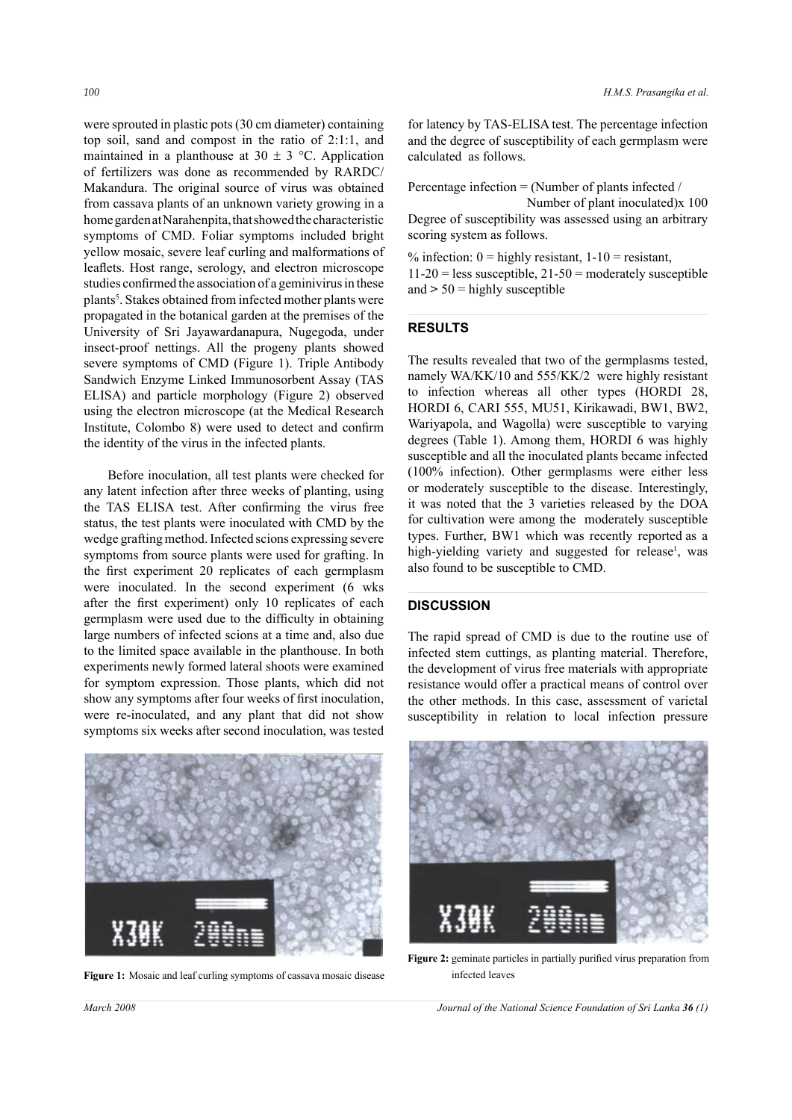were sprouted in plastic pots (30 cm diameter) containing top soil, sand and compost in the ratio of 2:1:1, and maintained in a planthouse at  $30 \pm 3$  °C. Application of fertilizers was done as recommended by RARDC/ Makandura. The original source of virus was obtained from cassava plants of an unknown variety growing in a home garden at Narahenpita, that showed the characteristic symptoms of CMD. Foliar symptoms included bright yellow mosaic, severe leaf curling and malformations of leaflets. Host range, serology, and electron microscope studies confirmed the association of a geminivirus in these plants<sup>5</sup>. Stakes obtained from infected mother plants were propagated in the botanical garden at the premises of the University of Sri Jayawardanapura, Nugegoda, under insect-proof nettings. All the progeny plants showed severe symptoms of CMD (Figure 1). Triple Antibody Sandwich Enzyme Linked Immunosorbent Assay (TAS ELISA) and particle morphology (Figure 2) observed using the electron microscope (at the Medical Research Institute, Colombo 8) were used to detect and confirm the identity of the virus in the infected plants.

Before inoculation, all test plants were checked for any latent infection after three weeks of planting, using the TAS ELISA test. After confirming the virus free status, the test plants were inoculated with CMD by the wedge grafting method. Infected scions expressing severe symptoms from source plants were used for grafting. In the first experiment 20 replicates of each germplasm were inoculated. In the second experiment (6 wks after the first experiment) only 10 replicates of each germplasm were used due to the difficulty in obtaining large numbers of infected scions at a time and, also due to the limited space available in the planthouse. In both experiments newly formed lateral shoots were examined for symptom expression. Those plants, which did not show any symptoms after four weeks of first inoculation, were re-inoculated, and any plant that did not show symptoms six weeks after second inoculation, was tested



**Figure 1:** Mosaic and leaf curling symptoms of cassava mosaic disease

for latency by TAS-ELISA test. The percentage infection and the degree of susceptibility of each germplasm were calculated as follows.

Percentage infection = (Number of plants infected /

Number of plant inoculated)x 100 Degree of susceptibility was assessed using an arbitrary scoring system as follows.

% infection:  $0 =$  highly resistant,  $1-10 =$  resistant,  $11-20$  = less susceptible,  $21-50$  = moderately susceptible and **>** 50 = highly susceptible

#### **RESULTS**

 $\overline{a}$ 

The results revealed that two of the germplasms tested, namely WA/KK/10 and 555/KK/2 were highly resistant to infection whereas all other types (HORDI 28, HORDI 6, CARI 555, MU51, Kirikawadi, BW1, BW2, Wariyapola, and Wagolla) were susceptible to varying degrees (Table 1). Among them, HORDI 6 was highly susceptible and all the inoculated plants became infected (100% infection). Other germplasms were either less or moderately susceptible to the disease. Interestingly, it was noted that the 3 varieties released by the DOA for cultivation were among the moderately susceptible types. Further, BW1 which was recently reported as a high-yielding variety and suggested for release<sup>1</sup>, was also found to be susceptible to CMD.

## **DISCUSSION**

The rapid spread of CMD is due to the routine use of infected stem cuttings, as planting material. Therefore, the development of virus free materials with appropriate resistance would offer a practical means of control over the other methods. In this case, assessment of varietal susceptibility in relation to local infection pressure



**Figure 2:** geminate particles in partially purified virus preparation from infected leaves

*March 2008 Journal of the National Science Foundation of Sri Lanka 36 (1)*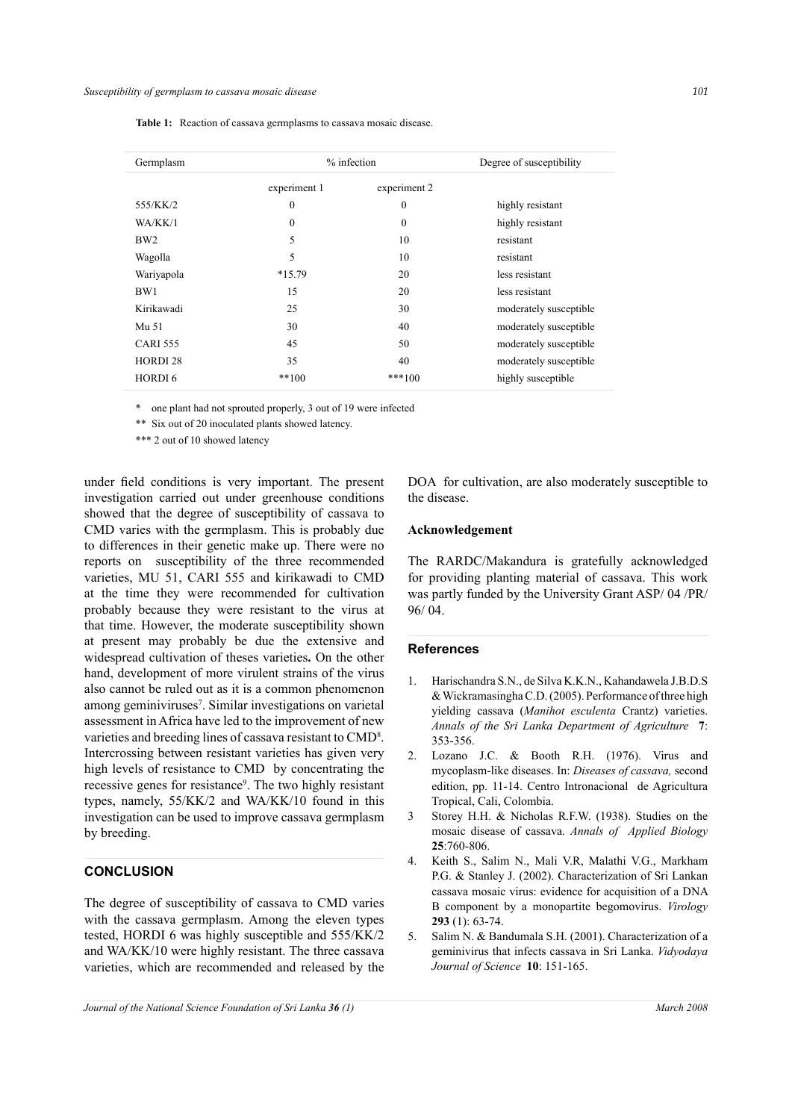| Germplasm           | $%$ infection |                  | Degree of susceptibility |
|---------------------|---------------|------------------|--------------------------|
|                     | experiment 1  | experiment 2     |                          |
| 555/KK/2            | $\mathbf{0}$  | $\boldsymbol{0}$ | highly resistant         |
| WA/KK/1             | $\mathbf{0}$  | $\boldsymbol{0}$ | highly resistant         |
| BW <sub>2</sub>     | 5             | 10               | resistant                |
| Wagolla             | 5             | 10               | resistant                |
| Wariyapola          | $*15.79$      | 20               | less resistant           |
| BW1                 | 15            | 20               | less resistant           |
| Kirikawadi          | 25            | 30               | moderately susceptible   |
| Mu 51               | 30            | 40               | moderately susceptible   |
| <b>CARI 555</b>     | 45            | 50               | moderately susceptible   |
| HORDI <sub>28</sub> | 35            | 40               | moderately susceptible   |
| HORDI <sub>6</sub>  | $**100$       | $***100$         | highly susceptible       |

**Table 1:** Reaction of cassava germplasms to cassava mosaic disease.

\* one plant had not sprouted properly, 3 out of 19 were infected

\*\* Six out of 20 inoculated plants showed latency.

\*\*\* 2 out of 10 showed latency

under field conditions is very important. The present investigation carried out under greenhouse conditions showed that the degree of susceptibility of cassava to CMD varies with the germplasm. This is probably due to differences in their genetic make up. There were no reports on susceptibility of the three recommended varieties, MU 51, CARI 555 and kirikawadi to CMD at the time they were recommended for cultivation probably because they were resistant to the virus at that time. However, the moderate susceptibility shown at present may probably be due the extensive and widespread cultivation of theses varieties**.** On the other hand, development of more virulent strains of the virus also cannot be ruled out as it is a common phenomenon among geminiviruses<sup>7</sup>. Similar investigations on varietal assessment in Africa have led to the improvement of new varieties and breeding lines of cassava resistant to CMD<sup>8</sup>. Intercrossing between resistant varieties has given very high levels of resistance to CMD by concentrating the recessive genes for resistance<sup>9</sup>. The two highly resistant types, namely, 55/KK/2 and WA/KK/10 found in this investigation can be used to improve cassava germplasm by breeding.

## **CONCLUSION**

The degree of susceptibility of cassava to CMD varies with the cassava germplasm. Among the eleven types tested, HORDI 6 was highly susceptible and 555/KK/2 and WA/KK/10 were highly resistant. The three cassava varieties, which are recommended and released by the

DOA for cultivation, are also moderately susceptible to the disease.

#### **Acknowledgement**

The RARDC/Makandura is gratefully acknowledged for providing planting material of cassava. This work was partly funded by the University Grant ASP/ 04 /PR/ 96/ 04.

#### **References**

- 1. Harischandra S.N., de Silva K.K.N., Kahandawela J.B.D.S & Wickramasingha C.D. (2005). Performance of three high yielding cassava (*Manihot esculenta* Crantz) varieties. *Annals of the Sri Lanka Department of Agriculture* **7**: 353-356.
- 2. Lozano J.C. & Booth R.H. (1976). Virus and mycoplasm-like diseases. In: *Diseases of cassava,* second edition, pp. 11-14. Centro Intronacional de Agricultura Tropical, Cali, Colombia.
- 3 Storey H.H. & Nicholas R.F.W. (1938). Studies on the mosaic disease of cassava. *Annals of Applied Biology* **25**:760-806.
- 4. Keith S., Salim N., Mali V.R, Malathi V.G., Markham P.G. & Stanley J. (2002). Characterization of Sri Lankan cassava mosaic virus: evidence for acquisition of a DNA B component by a monopartite begomovirus. *Virology* **293** (1): 63-74.
- 5. Salim N. & Bandumala S.H. (2001). Characterization of a geminivirus that infects cassava in Sri Lanka. *Vidyodaya Journal of Science* **10**: 151-165.